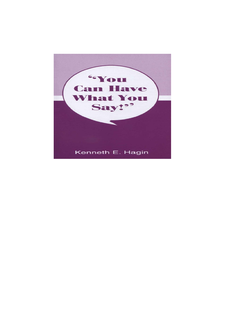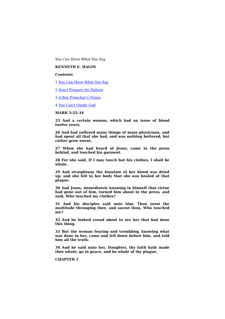*You Can Have What You Say*

## **KENNETH E. HAGIN**

## *Contents*

1 You Can Have What You Say

- 2 Don't Prepare for Failure
- 3 A Boy Preacher's Vision

# 4 You Can't Outdo God

**MARK 5:25-34**

**25 And a certain woman, which had an issue of blood twelve years,**

**26 And had suffered many things of many physicians, and had spent all that she had, and was nothing bettered, but rather grew worse,**

**27 When she had heard of Jesus, came in the press behind, and touched his garment.**

**28 For she said, If I may touch but his clothes, I shall be whole.**

**29 And straightway the fountain of her blood was dried up; and she felt in her body that she was healed of that plague.**

**30 And Jesus, immediately knowing in himself that virtue had gone out of him, turned him about in the press, and said, Who touched my clothes?**

**31 And his disciples said unto him, Thou seest the multitude thronging thee, and sayest thou, Who touched me?**

**32 And he looked round about to see her that had done this thing.**

**33 But the woman fearing and trembling, knowing what was done in her, came and fell down before him, and told him all the truth.**

**34 And he said unto her, Daughter, thy faith hath made thee whole; go in peace, and be whole of thy plague.**

**CHAPTER 1**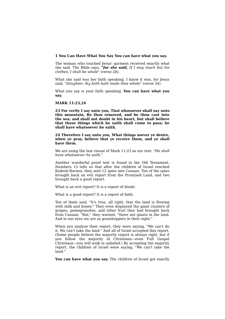#### **1 You Can Have What You Say You can have what you say.**

The woman who touched Jesus' garment received exactly what she said. The Bible says, *"for she said, If I may touch but his clothes, I shall be whole"* (verse 28).

What she said was her faith speaking. I know it was, for Jesus said, *"Daughter, thy faith hath made thee whole"* (verse 34).

What you say is your faith speaking. **You can have what you say.**

### **MARK 11:23,24**

**23 For verily I say unto you, That whosoever shall say unto this mountain, Be thou removed, and be thou cast into the sea; and shall not doubt in his heart, but shall believe that those things which he saith shall come to pass; he shall have whatsoever he saith.**

**24 Therefore I say unto you, What things soever ye desire, when ye pray, believe that ye receive them, and ye shall have them.**

We are using the last clause of Mark 11:23 as our text: *"He shall have whatsoever he saith."*

Another wonderful proof text is found in the Old Testament. Numbers 13 tells us that after the children of Israel reached Kadesh-Barnea, they sent 12 spies into Canaan. Ten of the spies brought back an evil report from the Promised Land, and two brought back a good report.

What is an evil report? It is a report of doubt.

What is a good report? It is a report of faith.

Ten of them said, "It's true, all right, that the land is flowing with milk and honey." They even displayed the giant clusters of grapes, pomegranates, and other fruit they had brought back from Canaan. "But," they warned, "there are giants in the land. And in our eyes we are as grasshoppers in their sight."

When you analyze their report, they were saying, "We can't do it. We can't take the land." And all of Israel accepted this report. (Some people believe the majority report is always right, but if you follow the majority of Christians—even Full Gospel Christians—you will walk in unbelief.) By accepting the majority report, the children of Israel were saying, "We can't take the land."

**You can have what you say.** The children of Israel got exactly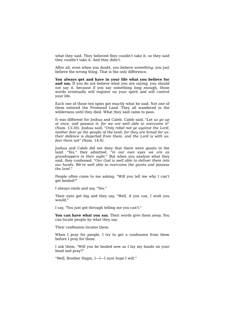what they said. They believed they couldn't take it, so they said they couldn't take it. And they didn't.

After all, even when you doubt, you believe *something;* you just believe the wrong thing. That is the only difference.

**You always get and have in your life what you believe for and say.** If you do not believe what you are saying, you should not say it, because if you say something long enough, those words eventually will register on your spirit and will control your life.

Each one of those ten spies got exactly what he said. Not one of them entered the Promised Land. They all wandered in the wilderness until they died. What they said came to pass.

It was different for Joshua and Caleb. Caleb said, *"Let us go up at once, and possess it; for we are well able to overcome it"* (Num. 13:30). Joshua said, *"Only rebel not ye against the Lord, neither fear ye the people of the land; for they are bread for us: their defence is departed from them, and the Lord is with us: fear them not"* (Num. 14:9).

Joshua and Caleb did not deny that there were giants in the land. *"Yes,"* they admitted, *"in our own eyes we are as grasshoppers in their sight."* But when you analyze what they said, they confessed, *"Our God is well able to deliver them into our hands. We're well able to overcome the giants and possess the land."*

People often come to me asking, "Will you tell me why I can't get healed?"

I always smile and say, "Yes."

Their eyes get big and they say, "Well, if you can, I wish you would."

I say, "You just got through telling me you can't."

**You can have what you say.** Their words give them away. You can locate people by what they say.

Their confession locates them.

When I pray for people, I try to get a confession from them before I pray for them.

I ask them, "Will you be healed now as I lay my hands on your head and pray?"

"Well, Brother Hagin, I—I—I sure *hope* I will."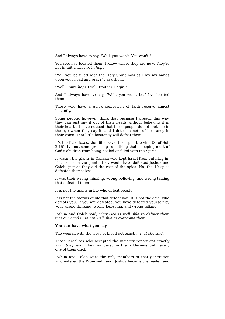And I always have to say, "Well, you won't. You won't."

You see, I've located them. I know where they are now. They're not in faith. They're in *hope.*

"Will you be filled with the Holy Spirit now as I lay my hands upon your head and pray?" I ask them.

"Well, I sure *hope* I will, Brother Hagin."

And I always have to say, "Well, you won't be." I've located them.

Those who have a quick confession of faith receive almost instantly.

Some people, however, think that because I preach this way, they can just say it out of their heads without believing it in their hearts. I have noticed that these people do not look me in the eye when they say it, and I detect a note of hesitancy in their voice. That little hesitancy will defeat them.

It's the little foxes, the Bible says, that spoil the vine (S. of Sol. 2:15). It's not some great big something that's keeping most of God's children from being healed or filled with the Spirit.

It wasn't the giants in Canaan who kept Israel from entering in. If it had been the giants, they would have defeated Joshua and Caleb, just as they did the rest of the spies. No, the 10 spies defeated themselves.

It was their wrong thinking, wrong believing, and wrong talking that defeated them.

It is not the giants in life who defeat people.

It is not the storms of life that defeat you. It is not the devil who defeats you. If you are defeated, you have defeated yourself by your wrong thinking, wrong believing, and wrong talking.

Joshua and Caleb said, *"Our God is well able to deliver them into our hands. We are well able to overcome them."*

## **You can have what you say.**

The woman with the issue of blood got exactly *what she said.*

Those Israelites who accepted the majority report got exactly *what they said:* They wandered in the wilderness until every one of them died.

Joshua and Caleb were the only members of that generation who entered the Promised Land. Joshua became the leader, and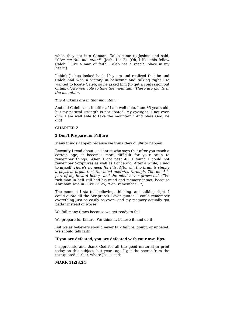when they got into Canaan, Caleb came to Joshua and said, *"Give me this mountain!"* (Josh. 14:12). (Oh, I like this fellow Caleb. I like a man of faith. Caleb has a special place in my heart.)

I think Joshua looked back 40 years and realized that he and Caleb had won a victory in believing and talking right. He wanted to locate Caleb, so he asked him (to get a confession out of him), *"Are you able to take the mountain? There are giants in the mountain.*

*The Anakims are in that mountain."*

And old Caleb said, in effect, "I am well able. I am 85 years old, but my natural strength is not abated. My eyesight is not even dim. I am well able to take the mountain." And bless God, he did!

## **CHAPTER 2**

## **2 Don't Prepare for Failure**

Many things happen because we think they *ought* to happen.

Recently I read about a scientist who says that after you reach a certain age, it becomes more difficult for your brain to remember things. When I got past 40, I found I could not remember Scriptures as well as I once did. After a while, I said to myself, *There's no need for this. After all, the brain is simply a physical organ that the mind operates through. The mind is part of my inward being—and the mind never grows old.* (The rich man in hell still had his mind and memory intact, because Abraham said in Luke 16:25, "Son, remember. . ")

The moment I started believing, thinking, and talking right, I could quote all the Scriptures I ever quoted. I could remember everything just as easily as ever—and my memory actually got better instead of worse!

We fail many times because we get ready to fail.

We prepare for failure. We think it, believe it, and do it.

But we as believers should never talk failure, doubt, or unbelief. We should talk faith.

# **If you are defeated, you are defeated with your own lips.**

I appreciate and thank God for all the good material in print today on this subject, but years ago I got the secret from the text quoted earlier, where Jesus said:

# **MARK 11:23,24**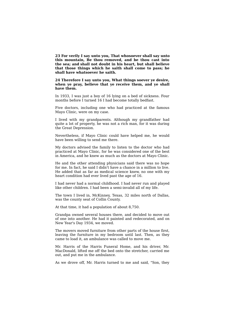**23 For verily I say unto you, That whosoever shall say unto this mountain, Be thou removed, and be thou cast into the sea; and shall not doubt in his heart, but shall believe that those things which he saith shall come to pass; he shall have whatsoever he saith.**

**24 Therefore I say unto you, What things soever ye desire, when ye pray, believe that ye receive them, and ye shall have them.**

In 1933, I was just a boy of 16 lying on a bed of sickness. Four months before I turned 16 I had become totally bedfast.

Five doctors, including one who had practiced at the famous Mayo Clinic, were on my case.

I lived with my grandparents. Although my grandfather had quite a lot of property, he was not a rich man, for it was during the Great Depression.

Nevertheless, if Mayo Clinic could have helped me, he would have been willing to send me there.

My doctors advised the family to listen to the doctor who had practiced at Mayo Clinic, for he was considered one of the best in America, and he knew as much as the doctors at Mayo Clinic.

He and the other attending physicians said there was no hope for me. In fact, he said I didn't have a chance in a million to live. He added that as far as medical science knew, no one with my heart condition had ever lived past the age of 16.

I had never had a normal childhood. I had never run and played like other children. I had been a semi-invalid all of my life.

The town I lived in, McKinney, Texas, 32 miles north of Dallas, was the county seat of Collin County.

At that time, it had a population of about 8,750.

Grandpa owned several houses there, and decided to move out of one into another. He had it painted and redecorated, and on New Year's Day 1934, we moved.

The movers moved furniture from other parts of the house first, leaving the furniture in my bedroom until last. Then, as they came to load it, an ambulance was called to move me.

Mr. Harris of the Harris Funeral Home, and his driver, Mr. MacDonald, lifted me off the bed onto the stretcher, carried me out, and put me in the ambulance.

As we drove off, Mr. Harris turned to me and said, "Son, they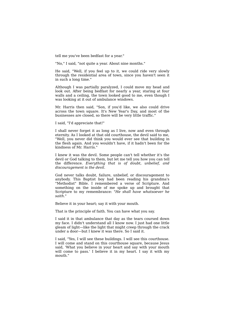tell me you've been bedfast for a year."

"No," I said, "not quite a year. About nine months."

He said, "Well, if you feel up to it, we could ride very slowly through the residential area of town, since you haven't seen it in such a long time."

Although I was partially paralyzed, I could move my head and look out. After being bedfast for nearly a year, staring at four walls and a ceiling, the town looked good to me, even though I was looking at it out of ambulance windows.

Mr. Harris then said, "Son, if you'd like, we also could drive across the town square. It's New Year's Day, and most of the businesses are closed, so there will be very little traffic."

I said, "I'd appreciate that!"

I shall never forget it as long as I live, now and even through eternity. As I looked at that old courthouse, the devil said to me, "Well, you never did think you would ever see that building in the flesh again. And you wouldn't have, if it hadn't been for the kindness of Mr. Harris."

I knew it was the devil. Some people can't tell whether it's the devil or God talking to them, but let me tell you how you can tell the difference. *Everything that is of doubt, unbelief, and discouragement is the devil.*

God never talks doubt, failure, unbelief, or discouragement to anybody. This Baptist boy had been reading his grandma's "Methodist" Bible. I remembered a verse of Scripture. And something on the inside of me spoke up and brought that Scripture to my remembrance: *"He shall have whatsoever he saith."*

Believe it in your heart; say it with your mouth.

That is the principle of faith. You can have what you say.

I said it in that ambulance that day as the tears coursed down my face. I didn't understand all I know now. I just had one little gleam of light—like the light that might creep through the crack under a door—but I knew it was there. So I said it.

I said, "Yes, I will see these buildings. I will see this courthouse. I will come and stand on this courthouse square, because Jesus said, 'What you believe in your heart and say with your mouth will come to pass.' I believe it in my heart. I say it with my mouth."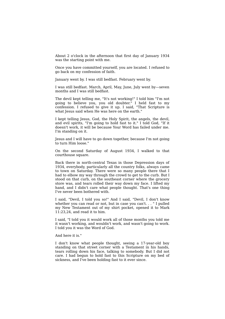About 2 o'clock in the afternoon that first day of January 1934 was the starting point with me.

Once you have committed yourself, you are located. I refused to go back on my confession of faith.

January went by. I was still bedfast. February went by.

I was still bedfast. March, April, May, June, July went by—seven months and I was still bedfast.

The devil kept telling me, "It's not working!" I told him "I'm not going to believe you, you old doubter." I held fast to my confession. I refused to give it up. I said, "That Scripture is what Jesus said when He was here on the earth."

I kept telling Jesus, God, the Holy Spirit, the angels, the devil, and evil spirits, "I'm going to hold fast to it." I told God, "If it doesn't work, it will be because Your Word has failed under me. I'm standing on it.

Jesus and I will have to go down together, because I'm not going to turn Him loose."

On the second Saturday of August 1934, I walked to that courthouse square.

Back there in north-central Texas in those Depression days of 1934, everybody, particularly all the country folks, always came to town on Saturday. There were so many people there that I had to elbow my way through the crowd to get to the curb. But I stood on that curb, on the southeast corner where the grocery store was, and tears rolled their way down my face. I lifted my hand, and I didn't care what people thought. That's one thing I've never been bothered with.

I said, "Devil, I told you so!" And I said, "Devil, I don't know whether you can read or not, but in case you can't. . . " I pulled my New Testament out of my shirt pocket, opened it to Mark 11:23,24, and read it to him.

I said, "I told you it would work all of those months you told me it wasn't working, and wouldn't work, and wasn't going to work. I told you it was the Word of God.

And here it is."

I don't know what people thought, seeing a 17-year-old boy standing on that street corner with a Testament in his hands, tears rolling down his face, talking to somebody. But I did not care. I had begun to hold fast to this Scripture on my bed of sickness, and I've been holding fast to it ever since.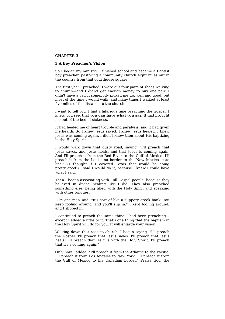## **CHAPTER 3**

## **3 A Boy Preacher's Vision**

So I began my ministry. I finished school and became a Baptist boy preacher, pastoring a community church eight miles out in the country from that courthouse square.

The first year I preached, I wore out four pairs of shoes walking to church—and I didn't get enough money to buy one pair. I didn't have a car. If somebody picked me up, well and good, but most of the time I would walk, and many times I walked at least five miles of the distance to the church.

I want to tell you, I had a hilarious time preaching the Gospel. I knew, you see, that **you can have what you say.** It had brought me out of the bed of sickness.

It had healed me of heart trouble and paralysis, and it had given me health. So I knew Jesus saved. I knew Jesus healed. I knew Jesus was coming again. I didn't know then about His baptizing in the Holy Spirit.

I would walk down that dusty road, saying, "I'll preach that Jesus saves, and Jesus heals, and that Jesus is coming again. And I'll preach it from the Red River to the Gulf of Mexico. I'll preach it from the Louisiana border to the New Mexico state line." (I thought if I covered Texas that would be doing pretty good!) I said I would do it, because I knew I could have what I said.

Then I began associating with Full Gospel people, because they believed in divine healing like I did. They also preached something else: being filled with the Holy Spirit and speaking with other tongues.

Like one man said, "It's sort of like a slippery creek bank. You keep fooling around, and you'll slip in." I kept fooling around, and I slipped in.

I continued to preach the same thing I had been preaching except I added a little to it. That's one thing that the baptism in the Holy Spirit will do for you: It will enlarge your vision!

Walking down that road to church, I began saying, "I'll preach the Gospel. I'll preach that Jesus saves. I'll preach that Jesus heals. I'll preach that He fills with the Holy Spirit. I'll preach that He's coming again."

Only now I added, "I'll preach it from the Atlantic to the Pacific. I'll preach it from Los Angeles to New York. I'll preach it from the Gulf of Mexico to the Canadian border." Praise God, the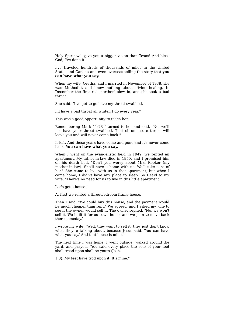Holy Spirit will give you a bigger vision than Texas! And bless God, I've done it.

I've traveled hundreds of thousands of miles in the United States and Canada and even overseas telling the story that **you can have what you say.**

When my wife, Oretha, and I married in November of 1938, she was Methodist and knew nothing about divine healing. In December the first real norther' blew in, and she took a bad throat.

She said. "I've got to go have my throat swabbed.

I'll have a bad throat all winter. I do every year."

This was a good opportunity to teach her.

Remembering Mark 11:23 I turned to her and said, "No, we'll not have your throat swabbed. That chronic sore throat will leave you and will never come back."

It left. And these years have come and gone and it's never come back. **You can have what you say.**

When I went on the evangelistic field in 1949, we rented an apartment. My father-in-law died in 1950, and I promised him on his death bed, "Don't you worry about Mrs. Rooker (my mother-in-law). She'll have a home with us. We'll take care of her." She came to live with us in that apartment, but when I came home, I didn't have any place to sleep. So I said to my wife, "There's no need for us to live in this little apartment.

Let's get a house.'

At first we rented a three-bedroom frame house.

Then I said, "We could buy this house, and the payment would be much cheaper than rent." We agreed, and I asked my wife to see if the owner would sell it. The owner replied, "No, we won't sell it. We built it for our own home, and we plan to move back there someday."

I wrote my wife, "Well, they want to sell it; they just don't know what they're talking about, because Jesus said, 'You can have what you say.' And that house is mine."

The next time I was home, I went outside, walked around the yard, and prayed, "You said every place the sole of your foot shall tread upon shall be yours (Josh.

1:3). My feet have trod upon it. It's mine."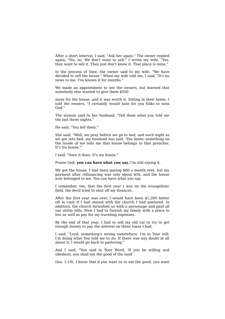After a short interval, I said, "Ask her again." The owner replied again, "No, no. We don't want to sell." I wrote my wife, "Yes, they want to sell it. They just don't know it. That place is mine."

In the process of time, the owner said to my wife, "We have decided to sell the house." When my wife told me, I said, "It's no news to me. I've known it for months."

We made an appointment to see the owners, but learned that somebody else wanted to give them \$500

more for the house, and it was worth it. Sitting in their home, I told the owners, "I certainly would hate for you folks to miss God."

The woman said to her husband, "Tell them what you told me the last three nights."

He said, "You tell them."

She said, "Well, we pray before we go to bed, and each night as we got into bed, my husband has said, 'You know, something on the inside of me tells me that house belongs to that preacher. It's his house.'"

I said, "Sure it does. It's my house."

Praise God, **you can have what you say.** I'm still saying it.

We got the house. I had been paying \$80 a month rent, but my payment after refinancing was only about \$56, and the house now belonged to me. You can have what you say.

I remember, too, that the first year I was on the evangelistic field, the devil tried to shut off my finances.

After the first year was over, I would have been \$1,200 better off in cash if I had stayed with the church I had pastored. In addition, the church furnished us with a parsonage and paid all our utility bills. Now I had to furnish my family with a place to live as well as pay for my traveling expenses.

By the end of that year, I had to sell my old car to try to get enough money to pay the interest on three loans I had.

I said, "Lord, something's wrong somewhere. I'm in Your will. I'm doing what You told me to do. If there was any doubt at all about it, I would go back to pastoring."

And I said, "You said in Your Word, 'If you be willing and obedient, you shall eat the good of the land'

(Isa. 1:19). I know that if you want us to eat the good, you want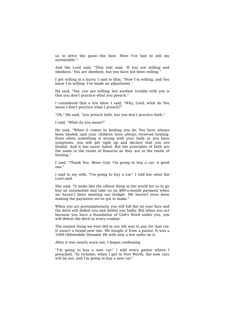us to drive the good—the best. Here I've had to sell my automobile."

And the Lord said, "That text said, 'If you are willing and obedient.' You are obedient, but you have not been willing."

I got willing in a hurry. I said to Him, "Now I'm willing, and You know I'm willing. I've made an adjustment."

He said, "Yes, you are willing, but another trouble with you is that you don't practice what you preach."

I considered that a low blow. I said, "Why, Lord, what do You mean I don't practice what I preach?"

"Oh," He said, "you preach faith, but you don't practice faith."

I said, "What do you mean?"

He said, "When it comes to healing you do. You have always been healed, and your children have always received healing. Even when something is wrong with your body or you have symptoms, you will get right up and declare that you are healed. And it has never failed. But the principles of faith are the same in the realm of finances as they are in the realm of healing."

I said, "Thank You. Bless God, I'm going to buy a car. A good one."

I said to my wife, "I'm going to buy a car." I told her what the Lord said.

She said, "It looks like the silliest thing in the world for us to go buy an automobile and take on an \$80-a-month payment when we haven't been meeting our budget. We haven't even been making the payments we've got to make."

When you act presumptuously, you will fall flat on your face and the devil will defeat you and defeat you badly. But when you act because you have a foundation of God's Word under you, you will defeat the devil in every combat.

The easiest thing we ever did in our life was to pay for that car. It wasn't a brand new one. We bought it from a pastor. It was a 1949 Oldsmobile Dynamic 88 with only a few miles on it.

After it was nearly worn out, I began confessing

"I'm going to buy a new car." I told every pastor where I preached, "In October, when I get to Fort Worth, the new cars will be out, and I'm going to buy a new car."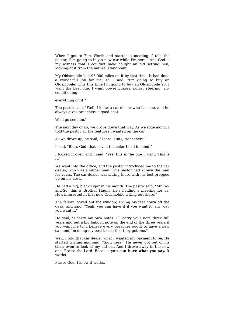When I got to Fort Worth and started a meeting, I told the pastor, "I'm going to buy a new car while I'm here." And God is my witness that I couldn't have bought an old setting hen, looking at it from the natural standpoint.

My Oldsmobile had 93,000 miles on it by that time. It had done a wonderful job for me, so I said, "I'm going to buy an Oldsmobile. Only this time I'm going to buy an Oldsmobile 98. I want the best one. I want power brakes, power steering, airconditioning—

everything on it."

The pastor said, "Well, I know a car dealer who has one, and he always gives preachers a good deal.

We'll go see him."

The next day or so, we drove down that way. As we rode along, I told the pastor all the features I wanted on the car.

As we drove up, he said, "There it sits, right there."

I said, "Bless God, that's even the color I had in mind."

I looked it over, and I said, "Yes, this is the one I want. This is it."

We went into the office, and the pastor introduced me to the car dealer, who was a sinner man. This pastor had known the man for years. The car dealer was sitting there with his feet propped up on his desk.

He had a big, black cigar in his mouth. The pastor said, "Mr. Soand-So, this is Brother Hagin. He's holding a meeting for us. He's interested in that new Oldsmobile sitting out there."

The fellow looked out the window, swung his feet down off the desk, and said, "Yeah, you can have it if you want it, any way you want it."

He said, "I carry my own notes. I'll carry your note three full years and put a big balloon note on the end of the three years if you want me to. I believe every preacher ought to have a new car, and I'm doing my best to see that they get one."

Well, I told that car dealer what I wanted my payment to be. He started writing and said, "Sign here." He never got out of his chair even to look at my old car. And I drove away in the new one. Praise the Lord. Because **you can have what you say.** It works.

Praise God, I know it works.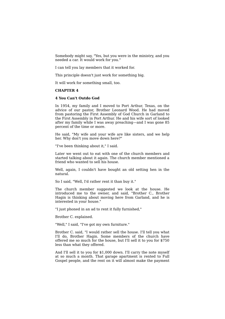Somebody might say, "Yes, but you were in the ministry, and you needed a car. It would work for you."

I can tell you lay members that it worked for.

This principle doesn't just work for something big.

It will work for something small, too.

## **CHAPTER 4**

# **4 You Can't Outdo God**

In 1954, my family and I moved to Port Arthur, Texas, on the advice of our pastor, Brother Leonard Wood. He had moved from pastoring the First Assembly of God Church in Garland to the First Assembly in Port Arthur. He and his wife sort of looked after my family while I was away preaching—and I was gone 85 percent of the time or more.

He said, "My wife and your wife are like sisters, and we help her. Why don't you move down here?"

"I've been thinking about it," I said.

Later we went out to eat with one of the church members and started talking about it again. The church member mentioned a friend who wanted to sell his house.

Well, again, I couldn't have bought an old setting hen in the natural.

So I said, "Well, I'd rather rent it than buy it."

The church member suggested we look at the house. He introduced me to the owner, and said, "Brother C., Brother Hagin is thinking about moving here from Garland, and he is interested in your house."

"I just phoned in an ad to rent it fully furnished,"

Brother C. explained.

"Well," I said, "I've got my own furniture."

Brother C. said, "I would rather sell the house. I'll tell you what I'll do, Brother Hagin. Some members of the church have offered me so much for the house, but I'll sell it to you for \$750 less than what they offered.

And I'll sell it to you for \$1,000 down. I'll carry the note myself at so much a month. That garage apartment is rented to Full Gospel people, and the rent on it will almost make the payment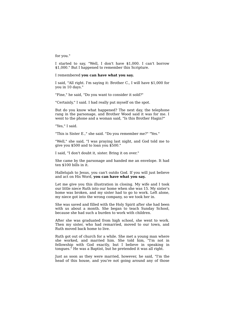for you."

I started to say, "Well, I don't have \$1,000. I can't borrow \$1,000." But I happened to remember this Scripture.

## I remembered **you can have what you say.**

I said, "All right. I'm saying it: Brother C., I will have \$1,000 for you in 10 days."

"Fine," he said, "Do you want to consider it sold?"

"Certainly," I said. I had really put myself on the spot.

But do you know what happened? The next day, the telephone rang in the parsonage, and Brother Wood said it was for me. I went to the phone and a woman said, "Is this Brother Hagin?"

"Yes," I said.

"This is Sister E.," she said. "Do you remember me?" "Yes."

"Well," she said, "I was praying last night, and God told me to give you \$500 and to loan you \$500."

I said, "I don't doubt it, sister. Bring it on over."

She came by the parsonage and handed me an envelope. It had ten \$100 bills in it.

Hallelujah to Jesus, you can't outdo God. If you will just believe and act on His Word, **you can have what you say.**

Let me give you this illustration in closing. My wife and I took our little niece Ruth into our home when she was 15. My sister's home was broken, and my sister had to go to work. Left alone, my niece got into the wrong company, so we took her in.

She was saved and filled with the Holy Spirit after she had been with us about a month. She began to teach Sunday School, because she had such a burden to work with children.

After she was graduated from high school, she went to work. Then my sister, who had remarried, moved to our town, and Ruth moved back home to live.

Ruth got out of church for a while. She met a young man where she worked, and married him. She told him, "I'm not in fellowship with God exactly, but I believe in speaking in tongues." He was a Baptist, but he pretended it was all right.

Just as soon as they were married, however, he said, "I'm the head of this house, and you're not going around any of those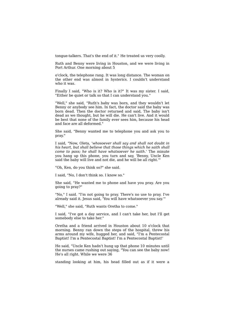tongue-talkers. That's the end of it." He treated us very coolly.

Ruth and Benny were living in Houston, and we were living in Port Arthur. One morning about 5

o'clock, the telephone rang. It was long distance. The woman on the other end was almost in hysterics. I couldn't understand who it was.

Finally I said, "Who is it? Who is it?" It was my sister. I said, "Either be quiet or talk so that I can understand you."

"Well," she said, "Ruth's baby was born, and they wouldn't let Benny or anybody see him. In fact, the doctor said the baby was born dead. Then the doctor returned and said, The baby isn't dead as we thought, but he will die. He can't live. And it would be best that none of the family ever sees him, because his head and face are all deformed."

She said, "Benny wanted me to telephone you and ask you to pray."

I said, "Now, Oleta, *'whosoever shall say and shall not doubt in his heart, but shall believe that those things which he saith shall come to pass; he shall have whatsoever he saith.'* The minute you hang up this phone, you turn and say, 'Benny, Uncle Ken said the baby will live and not die, and he will be all right.'"

"Oh, Ken, do you think so?" she said.

I said, "No, I don't think so. I know so."

She said, "He wanted me to phone and have you pray. Are you going to pray?"

"No," I said. "I'm not going to pray. There's no use to pray. I've already said it. Jesus said, 'You will have whatsoever you say.'"

"Well," she said, "Ruth wants Oretha to come."

I said, "I've got a day service, and I can't take her, but I'll get somebody else to take her."

Oretha and a friend arrived in Houston about 10 o'clock that morning. Benny ran down the steps of the hospital, threw his arms around my wife, hugged her, and said, "I'm a Pentecostal Baptist! I'm a Pentecostal Baptist! I'm a Pentecostal Baptist!'

He said, "Uncle Ken hadn't hung up that phone 10 minutes until the nurses came rushing out saying, "You can see the baby now! He's all right. While we were 36

standing looking at him, his head filled out as if it were a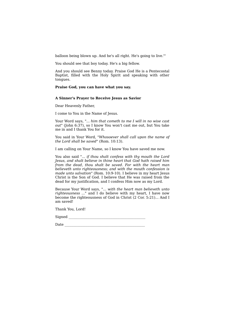balloon being blown up. And he's all right. He's going to live."'

You should see that boy today. He's a big fellow.

And you should see Benny today. Praise God He is a Pentecostal Baptist, filled with the Holy Spirit and speaking with other tongues.

# **Praise God, you can have what you say.**

## **A Sinner's Prayer to Receive Jesus as Savior**

Dear Heavenly Father,

I come to You in the Name of Jesus.

Your Word says, "... *him that cometh to me I will in no wise cast out"* (John 6:37), so I know You won't cast me out, but You take me in and I thank You for it.

You said in Your Word, *"Whosoever shall call upon the name of the Lord shall be saved"* (Rom. 10:13).

I am calling on Your Name, so I know You have saved me now.

You also said *"... if thou shalt confess with thy mouth the Lord Jesus, and shalt believe in thine heart that God hath raised him from the dead, thou shalt be saved. For with the heart man believeth unto righteousness; and with the mouth confession is made unto salvation"* (Rom. 10:9-10). I believe in my heart Jesus Christ is the Son of God. I believe that He was raised from the dead for my justification, and I confess Him now as my Lord.

Because Your Word says, *"... with the heart man believeth unto righteousness ..."* and I do believe with my heart, I have now become the righteousness of God in Christ (2 Cor. 5:21)... And I am saved!

Thank You, Lord!

Signed \_\_\_\_\_\_\_\_\_\_\_\_\_\_\_\_\_\_\_\_\_\_\_\_\_\_\_\_\_\_\_\_\_\_\_\_\_\_\_\_\_\_\_\_

Date